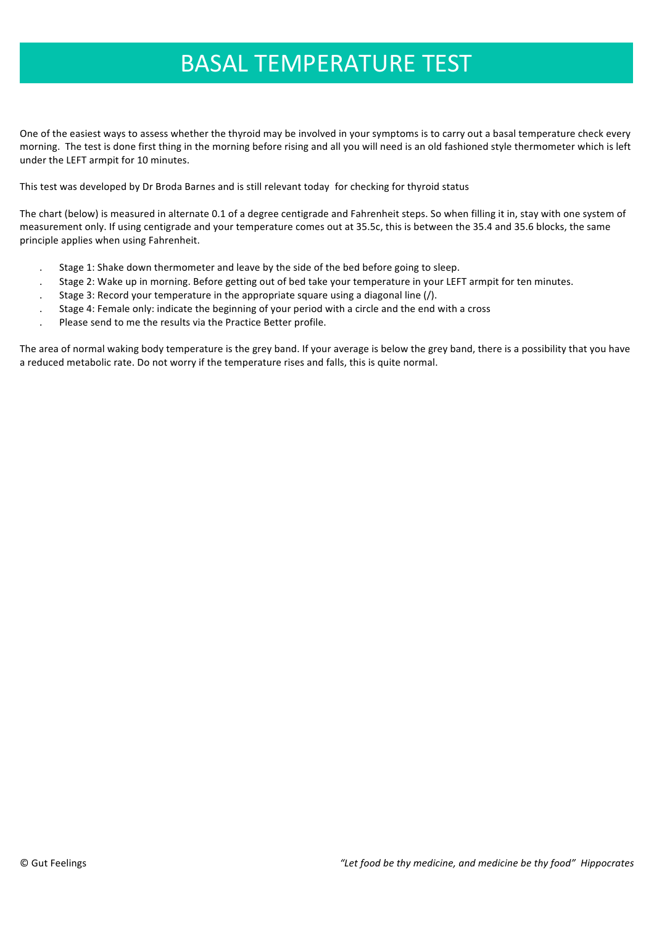## **BASAL TEMPERATURE TEST**

One of the easiest ways to assess whether the thyroid may be involved in your symptoms is to carry out a basal temperature check every morning. The test is done first thing in the morning before rising and all you will need is an old fashioned style thermometer which is left under the LEFT armpit for 10 minutes.

This test was developed by Dr Broda Barnes and is still relevant today for checking for thyroid status

The chart (below) is measured in alternate 0.1 of a degree centigrade and Fahrenheit steps. So when filling it in, stay with one system of measurement only. If using centigrade and your temperature comes out at 35.5c, this is between the 35.4 and 35.6 blocks, the same principle applies when using Fahrenheit.

- Stage 1: Shake down thermometer and leave by the side of the bed before going to sleep.
- Stage 2: Wake up in morning. Before getting out of bed take your temperature in your LEFT armpit for ten minutes.
- Stage 3: Record your temperature in the appropriate square using a diagonal line  $\langle \cdot \rangle$ .
- Stage 4: Female only: indicate the beginning of your period with a circle and the end with a cross
- Please send to me the results via the Practice Better profile.

The area of normal waking body temperature is the grey band. If your average is below the grey band, there is a possibility that you have a reduced metabolic rate. Do not worry if the temperature rises and falls, this is quite normal.